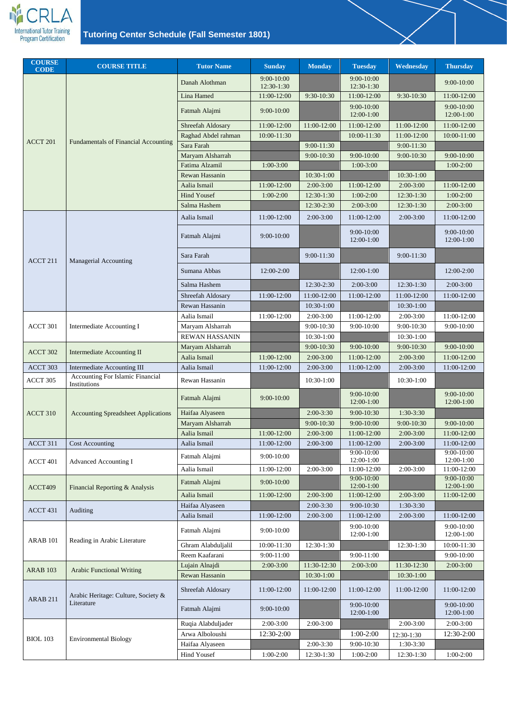

| <b>COURSE</b><br><b>CODE</b> | <b>COURSE TITLE</b>                                     | <b>Tutor Name</b>        | <b>Sunday</b>                | <b>Monday</b>  | <b>Tuesday</b>               | Wednesday    | <b>Thursday</b>                |
|------------------------------|---------------------------------------------------------|--------------------------|------------------------------|----------------|------------------------------|--------------|--------------------------------|
|                              |                                                         | Danah Alothman           | $9:00 - 10:00$<br>12:30-1:30 |                | 9:00-10:00<br>12:30-1:30     |              | $9:00-10:00$                   |
|                              |                                                         | Lina Hamed               | 11:00-12:00                  | 9:30-10:30     | 11:00-12:00                  | 9:30-10:30   | 11:00-12:00                    |
|                              |                                                         | Fatmah Alajmi            | 9:00-10:00                   |                | $9:00 - 10:00$<br>12:00-1:00 |              | $9:00 - 10:00$<br>$12:00-1:00$ |
|                              |                                                         | <b>Shreefah Aldosary</b> | 11:00-12:00                  | 11:00-12:00    | 11:00-12:00                  | 11:00-12:00  | 11:00-12:00                    |
|                              |                                                         | Raghad Abdel rahman      | 10:00-11:30                  |                | 10:00-11:30                  | 11:00-12:00  | 10:00-11:00                    |
| ACCT 201                     | <b>Fundamentals of Financial Accounting</b>             | Sara Farah               |                              | $9:00 - 11:30$ |                              | $9:00-11:30$ |                                |
|                              |                                                         | Maryam Alsharrah         |                              | 9:00-10:30     | 9:00-10:00                   | $9:00-10:30$ | $9:00-10:00$                   |
|                              |                                                         | Fatima Alzamil           | $1:00-3:00$                  |                | $1:00-3:00$                  |              | $1:00-2:00$                    |
|                              |                                                         | <b>Rewan Hassanin</b>    |                              | $10:30-1:00$   |                              | $10:30-1:00$ |                                |
|                              |                                                         | Aalia Ismail             | 11:00-12:00                  | $2:00-3:00$    | 11:00-12:00                  | $2:00-3:00$  | 11:00-12:00                    |
|                              |                                                         | <b>Hind Yousef</b>       | $1:00-2:00$                  | 12:30-1:30     | $1:00-2:00$                  | 12:30-1:30   | $1:00-2:00$                    |
|                              |                                                         | Salma Hashem             |                              | 12:30-2:30     | $2:00-3:00$                  | $12:30-1:30$ | $2:00-3:00$                    |
|                              |                                                         | Aalia Ismail             | 11:00-12:00                  | $2:00-3:00$    | 11:00-12:00                  | $2:00-3:00$  | 11:00-12:00                    |
|                              |                                                         | Fatmah Alajmi            | $9:00-10:00$                 |                | 9:00-10:00<br>12:00-1:00     |              | $9:00-10:00$<br>12:00-1:00     |
| ACCT 211                     | Managerial Accounting                                   | Sara Farah               |                              | $9:00-11:30$   |                              | $9:00-11:30$ |                                |
|                              |                                                         | Sumana Abbas             | 12:00-2:00                   |                | 12:00-1:00                   |              | 12:00-2:00                     |
|                              |                                                         | Salma Hashem             |                              | 12:30-2:30     | $2:00-3:00$                  | 12:30-1:30   | $2:00-3:00$                    |
|                              |                                                         | Shreefah Aldosary        | 11:00-12:00                  | 11:00-12:00    | 11:00-12:00                  | 11:00-12:00  | 11:00-12:00                    |
|                              |                                                         | Rewan Hassanin           |                              | 10:30-1:00     |                              | 10:30-1:00   |                                |
|                              | Intermediate Accounting I                               | Aalia Ismail             | 11:00-12:00                  | $2:00-3:00$    | 11:00-12:00                  | $2:00-3:00$  | 11:00-12:00                    |
| ACCT 301                     |                                                         | Maryam Alsharrah         |                              | 9:00-10:30     | 9:00-10:00                   | 9:00-10:30   | $9:00-10:00$                   |
|                              |                                                         | <b>REWAN HASSANIN</b>    |                              | 10:30-1:00     |                              | 10:30-1:00   |                                |
| ACCT 302                     | <b>Intermediate Accounting II</b>                       | Maryam Alsharrah         |                              | 9:00-10:30     | 9:00-10:00                   | 9:00-10:30   | $9:00 - 10:00$                 |
|                              |                                                         | Aalia Ismail             | 11:00-12:00                  | $2:00-3:00$    | 11:00-12:00                  | $2:00-3:00$  | 11:00-12:00                    |
| ACCT 303                     | <b>Intermediate Accounting III</b>                      | Aalia Ismail             | 11:00-12:00                  | $2:00-3:00$    | 11:00-12:00                  | $2:00-3:00$  | 11:00-12:00                    |
| ACCT 305                     | <b>Accounting For Islamic Financial</b><br>Institutions | Rewan Hassanin           |                              | 10:30-1:00     |                              | 10:30-1:00   |                                |
|                              |                                                         | Fatmah Alajmi            | 9:00-10:00                   |                | 9:00-10:00<br>12:00-1:00     |              | 9:00-10:00<br>$12:00-1:00$     |
| ACCT 310                     | <b>Accounting Spreadsheet Applications</b>              | Haifaa Alyaseen          |                              | $2:00-3:30$    | 9:00-10:30                   | $1:30-3:30$  |                                |
|                              |                                                         | Maryam Alsharrah         |                              | 9:00-10:30     | 9:00-10:00                   | 9:00-10:30   | $9:00 - 10:00$                 |
|                              |                                                         | Aalia Ismail             | 11:00-12:00                  | $2:00-3:00$    | 11:00-12:00                  | $2:00-3:00$  | 11:00-12:00                    |
| ACCT 311                     | <b>Cost Accounting</b>                                  | Aalia Ismail             | 11:00-12:00                  | $2:00-3:00$    | 11:00-12:00                  | $2:00-3:00$  | 11:00-12:00                    |
| ACCT 401                     | <b>Advanced Accounting I</b>                            | Fatmah Alajmi            | $9:00-10:00$                 |                | $9:00-10:00$<br>12:00-1:00   |              | $9:00-10:00$<br>12:00-1:00     |
|                              |                                                         | Aalia Ismail             | 11:00-12:00                  | $2:00-3:00$    | 11:00-12:00                  | $2:00-3:00$  | 11:00-12:00                    |
| ACCT409                      | Financial Reporting & Analysis                          | Fatmah Alajmi            | 9:00-10:00                   |                | 9:00-10:00<br>12:00-1:00     |              | $9:00 - 10:00$<br>$12:00-1:00$ |
|                              |                                                         | Aalia Ismail             | 11:00-12:00                  | $2:00-3:00$    | 11:00-12:00                  | $2:00-3:00$  | 11:00-12:00                    |
| ACCT 431                     | Auditing                                                | Haifaa Alyaseen          |                              | $2:00-3:30$    | 9:00-10:30                   | 1:30-3:30    |                                |
|                              |                                                         | Aalia Ismail             | 11:00-12:00                  | $2:00-3:00$    | 11:00-12:00                  | $2:00-3:00$  | 11:00-12:00                    |
| ARAB <sub>101</sub>          |                                                         | Fatmah Alajmi            | 9:00-10:00                   |                | $9:00-10:00$<br>12:00-1:00   |              | $9:00-10:00$<br>12:00-1:00     |
|                              | Reading in Arabic Literature                            | Ghram Alabduljalil       | 10:00-11:30                  | 12:30-1:30     |                              | 12:30-1:30   | 10:00-11:30                    |
|                              |                                                         | Reem Kaafarani           | 9:00-11:00                   |                | $9:00-11:00$                 |              | $9:00-10:00$                   |
| <b>ARAB 103</b>              | <b>Arabic Functional Writing</b>                        | Lujain Alnajdi           | $2:00-3:00$                  | 11:30-12:30    | $2:00-3:00$                  | 11:30-12:30  | $2:00 - 3:00$                  |
|                              |                                                         | Rewan Hassanin           |                              | 10:30-1:00     |                              | 10:30-1:00   |                                |
| <b>ARAB 211</b>              | Arabic Heritage: Culture, Society &                     | Shreefah Aldosary        | 11:00-12:00                  | 11:00-12:00    | 11:00-12:00                  | 11:00-12:00  | 11:00-12:00                    |
|                              | Literature                                              | Fatmah Alajmi            | 9:00-10:00                   |                | 9:00-10:00<br>12:00-1:00     |              | $9:00-10:00$<br>12:00-1:00     |
|                              |                                                         | Ruqia Alabduljader       | 2:00-3:00                    | $2:00-3:00$    |                              | $2:00-3:00$  | $2:00-3:00$                    |
| <b>BIOL 103</b>              | <b>Environmental Biology</b>                            | Arwa Alboloushi          | 12:30-2:00                   |                | $1:00-2:00$                  | 12:30-1:30   | 12:30-2:00                     |
|                              |                                                         | Haifaa Alyaseen          |                              | $2:00-3:30$    | 9:00-10:30                   | $1:30-3:30$  |                                |
|                              |                                                         | Hind Yousef              | $1:00-2:00$                  | 12:30-1:30     | $1:00-2:00$                  | 12:30-1:30   | $1:00-2:00$                    |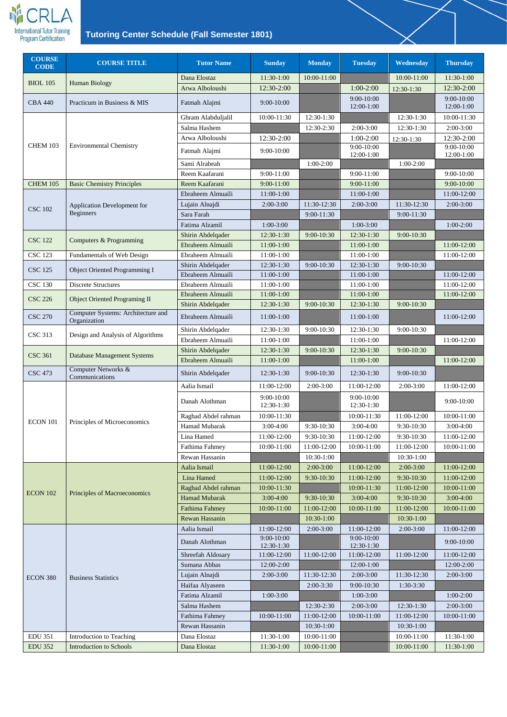

| <b>COURSE</b><br><b>CODE</b> | <b>COURSE TITLE</b>                                | <b>Tutor Name</b>     | <b>Sunday</b>                 | <b>Monday</b>  | <b>Tuesday</b>           | <b>Wednesday</b> | <b>Thursday</b>              |
|------------------------------|----------------------------------------------------|-----------------------|-------------------------------|----------------|--------------------------|------------------|------------------------------|
| <b>BIOL 105</b>              | <b>Human Biology</b>                               | Dana Elostaz          | 11:30-1:00                    | 10:00-11:00    |                          | 10:00-11:00      | 11:30-1:00                   |
|                              |                                                    | Arwa Alboloushi       | 12:30-2:00                    |                | $1:00-2:00$              | 12:30-1:30       | 12:30-2:00                   |
| <b>CBA 440</b>               | Practicum in Business & MIS                        | Fatmah Alajmi         | 9:00-10:00                    |                | 9:00-10:00<br>12:00-1:00 |                  | $9:00 - 10:00$<br>12:00-1:00 |
|                              |                                                    | Ghram Alabduljalil    | 10:00-11:30                   | 12:30-1:30     |                          | 12:30-1:30       | 10:00-11:30                  |
|                              |                                                    | Salma Hashem          |                               | 12:30-2:30     | $2:00-3:00$              | 12:30-1:30       | $2:00-3:00$                  |
|                              |                                                    | Arwa Alboloushi       | 12:30-2:00                    |                | $1:00-2:00$              | 12:30-1:30       | 12:30-2:00                   |
| <b>CHEM 103</b>              | <b>Environmental Chemistry</b>                     | Fatmah Alajmi         | $9:00-10:00$                  |                | $9:00-10:00$             |                  | $9:00-10:00$                 |
|                              |                                                    | Sami Alrabeah         |                               | $1:00-2:00$    | 12:00-1:00               | $1:00-2:00$      | 12:00-1:00                   |
|                              |                                                    | Reem Kaafarani        | 9:00-11:00                    |                | 9:00-11:00               |                  | 9:00-10:00                   |
| <b>CHEM 105</b>              | <b>Basic Chemistry Principles</b>                  | Reem Kaafarani        | $9:00 - 11:00$                |                | 9:00-11:00               |                  | $9:00 - 10:00$               |
|                              |                                                    | Ebraheem Almuaili     | 11:00-1:00                    |                | 11:00-1:00               |                  | 11:00-12:00                  |
|                              | Application Development for                        | Lujain Alnajdi        | $2:00-3:00$                   | 11:30-12:30    | $2:00-3:00$              | 11:30-12:30      | $2:00-3:00$                  |
| <b>CSC 102</b>               | <b>Beginners</b>                                   | Sara Farah            |                               | $9:00 - 11:30$ |                          | 9:00-11:30       |                              |
|                              |                                                    | Fatima Alzamil        | $1:00-3:00$                   |                | $1:00-3:00$              |                  | $1:00-2:00$                  |
|                              |                                                    | Shirin Abdelqader     | 12:30-1:30                    | 9:00-10:30     | 12:30-1:30               | 9:00-10:30       |                              |
| <b>CSC 122</b>               | Computers & Programming                            | Ebraheem Almuaili     | 11:00-1:00                    |                | 11:00-1:00               |                  | 11:00-12:00                  |
| <b>CSC 123</b>               | <b>Fundamentals of Web Design</b>                  | Ebraheem Almuaili     | 11:00-1:00                    |                | 11:00-1:00               |                  | 11:00-12:00                  |
|                              |                                                    | Shirin Abdelqader     | 12:30-1:30                    | $9:00 - 10:30$ | 12:30-1:30               | 9:00-10:30       |                              |
| <b>CSC 125</b>               | Object Oriented Programming I                      | Ebraheem Almuaili     | 11:00-1:00                    |                | 11:00-1:00               |                  | 11:00-12:00                  |
| <b>CSC 130</b>               | <b>Discrete Structures</b>                         | Ebraheem Almuaili     | 11:00-1:00                    |                | 11:00-1:00               |                  | 11:00-12:00                  |
| <b>CSC 226</b>               | <b>Object Oriented Programing II</b>               | Ebraheem Almuaili     | 11:00-1:00                    |                | 11:00-1:00               |                  | 11:00-12:00                  |
|                              |                                                    | Shirin Abdelqader     | 12:30-1:30                    | 9:00-10:30     | 12:30-1:30               | 9:00-10:30       |                              |
| <b>CSC 270</b>               | Computer Systems: Architecture and<br>Organization | Ebraheem Almuaili     | 11:00-1:00                    |                | 11:00-1:00               |                  | 11:00-12:00                  |
| <b>CSC 313</b>               | Design and Analysis of Algorithms                  | Shirin Abdelqader     | 12:30-1:30                    | 9:00-10:30     | 12:30-1:30               | 9:00-10:30       |                              |
|                              |                                                    | Ebraheem Almuaili     | $11:00-1:00$                  |                | 11:00-1:00               |                  | 11:00-12:00                  |
| <b>CSC 361</b>               | <b>Database Management Systems</b>                 | Shirin Abdelqader     | $12:30-1:30$                  | 9:00-10:30     | 12:30-1:30               | 9:00-10:30       |                              |
|                              | Computer Networks &                                | Ebraheem Almuaili     | 11:00-1:00                    |                | 11:00-1:00               |                  | 11:00-12:00                  |
| <b>CSC 473</b>               | Communications                                     | Shirin Abdelqader     | 12:30-1:30                    | 9:00-10:30     | 12:30-1:30               | 9:00-10:30       |                              |
|                              |                                                    | Aalia Ismail          | 11:00-12:00                   | $2:00-3:00$    | 11:00-12:00              | $2:00-3:00$      | 11:00-12:00                  |
|                              |                                                    | Danah Alothman        | $9:00-10:00$<br>12:30-1:30    |                | 9:00-10:00<br>12:30-1:30 |                  | 9:00-10:00                   |
| <b>ECON 101</b>              | Principles of Microeconomics                       | Raghad Abdel rahman   | 10:00-11:30                   |                | 10:00-11:30              | 11:00-12:00      | 10:00-11:00                  |
|                              |                                                    | Hamad Mubarak         | $3:00-4:00$                   | 9:30-10:30     | $3:00-4:00$              | 9:30-10:30       | $3:00-4:00$                  |
|                              |                                                    | Lina Hamed            | 11:00-12:00                   | 9:30-10:30     | 11:00-12:00              | 9:30-10:30       | 11:00-12:00                  |
|                              |                                                    | Fathima Fahmey        | 10:00-11:00                   | 11:00-12:00    | 10:00-11:00              | 11:00-12:00      | 10:00-11:00                  |
|                              |                                                    | Rewan Hassanin        |                               | $10:30-1:00$   |                          | 10:30-1:00       |                              |
|                              |                                                    | Aalia Ismail          | 11:00-12:00                   | $2:00-3:00$    | 11:00-12:00              | $2:00-3:00$      | 11:00-12:00                  |
|                              |                                                    | Lina Hamed            | 11:00-12:00                   | 9:30-10:30     | 11:00-12:00              | 9:30-10:30       | 11:00-12:00                  |
| <b>ECON 102</b>              | <b>Principles of Macroeconomics</b>                | Raghad Abdel rahman   | 10:00-11:30                   |                | 10:00-11:30              | 11:00-12:00      | 10:00-11:00                  |
|                              |                                                    | <b>Hamad Mubarak</b>  | $3:00-4:00$                   | 9:30-10:30     | $3:00-4:00$              | 9:30-10:30       | $3:00-4:00$                  |
|                              |                                                    | <b>Fathima Fahmey</b> | 10:00-11:00                   | 11:00-12:00    | 10:00-11:00              | 11:00-12:00      | 10:00-11:00                  |
|                              |                                                    | Rewan Hassanin        |                               | 10:30-1:00     |                          | 10:30-1:00       |                              |
|                              |                                                    | Aalia Ismail          | 11:00-12:00<br>$9:00 - 10:00$ | $2:00-3:00$    | 11:00-12:00              | $2:00-3:00$      | 11:00-12:00                  |
|                              |                                                    | Danah Alothman        | 12:30-1:30                    |                | 9:00-10:00<br>12:30-1:30 |                  | $9:00-10:00$                 |
|                              |                                                    | Shreefah Aldosary     | 11:00-12:00                   | 11:00-12:00    | 11:00-12:00              | 11:00-12:00      | 11:00-12:00                  |
|                              |                                                    | Sumana Abbas          | 12:00-2:00                    |                | 12:00-1:00               |                  | 12:00-2:00                   |
| <b>ECON 380</b>              | <b>Business Statistics</b>                         | Lujain Alnajdi        | $2:00-3:00$                   | 11:30-12:30    | $2:00-3:00$              | 11:30-12:30      | $2:00-3:00$                  |
|                              |                                                    | Haifaa Alyaseen       |                               | 2:00-3:30      | 9:00-10:30               | 1:30-3:30        |                              |
|                              |                                                    | Fatima Alzamil        | $1:00-3:00$                   |                | $1:00-3:00$              |                  | $1:00-2:00$                  |
|                              |                                                    | Salma Hashem          |                               | 12:30-2:30     | $2:00-3:00$              | 12:30-1:30       | $2:00-3:00$                  |
|                              |                                                    | Fathima Fahmey        | 10:00-11:00                   | 11:00-12:00    | 10:00-11:00              | 11:00-12:00      | 10:00-11:00                  |
|                              |                                                    | Rewan Hassanin        |                               | $10:30-1:00$   |                          | 10:30-1:00       |                              |
| <b>EDU 351</b>               | Introduction to Teaching                           | Dana Elostaz          | 11:30-1:00                    | 10:00-11:00    |                          | 10:00-11:00      | 11:30-1:00                   |
| <b>EDU 352</b>               | <b>Introduction to Schools</b>                     | Dana Elostaz          | $11:30-1:00$                  | 10:00-11:00    |                          | 10:00-11:00      | 11:30-1:00                   |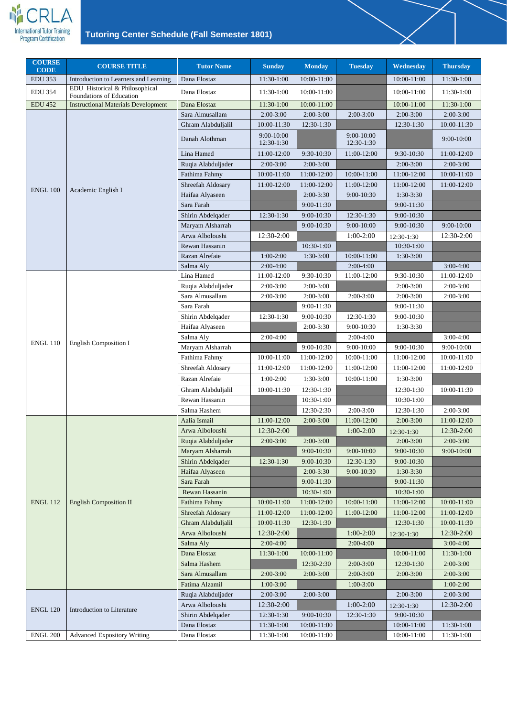

| <b>COURSE</b><br><b>CODE</b> | <b>COURSE TITLE</b>                                        | <b>Tutor Name</b>            | <b>Sunday</b>                | <b>Monday</b>              | <b>Tuesday</b>             | Wednesday                      | <b>Thursday</b> |
|------------------------------|------------------------------------------------------------|------------------------------|------------------------------|----------------------------|----------------------------|--------------------------------|-----------------|
| <b>EDU 353</b>               | Introduction to Learners and Learning                      | Dana Elostaz                 | 11:30-1:00                   | 10:00-11:00                |                            | 10:00-11:00                    | 11:30-1:00      |
| <b>EDU 354</b>               | EDU Historical & Philosophical<br>Foundations of Education | Dana Elostaz                 | 11:30-1:00                   | 10:00-11:00                |                            | 10:00-11:00                    | 11:30-1:00      |
| <b>EDU 452</b>               | <b>Instructional Materials Development</b>                 | Dana Elostaz                 | 11:30-1:00                   | 10:00-11:00                |                            | 10:00-11:00                    | 11:30-1:00      |
|                              |                                                            | Sara Almusallam              | $2:00-3:00$                  | $2:00-3:00$                | $2:00-3:00$                | $2:00-3:00$                    | $2:00-3:00$     |
|                              |                                                            | Ghram Alabduljalil           | 10:00-11:30                  | 12:30-1:30                 |                            | 12:30-1:30                     | 10:00-11:30     |
|                              |                                                            | Danah Alothman               | $9:00 - 10:00$<br>12:30-1:30 |                            | $9:00-10:00$<br>12:30-1:30 |                                | 9:00-10:00      |
|                              |                                                            | Lina Hamed                   | 11:00-12:00                  | 9:30-10:30                 | 11:00-12:00                | 9:30-10:30                     | 11:00-12:00     |
|                              |                                                            | Ruqia Alabduljader           | $2:00-3:00$                  | $2:00-3:00$                |                            | $2:00-3:00$                    | $2:00-3:00$     |
|                              |                                                            | Fathima Fahmy                | 10:00-11:00                  | 11:00-12:00                | 10:00-11:00                | 11:00-12:00                    | 10:00-11:00     |
| <b>ENGL 100</b>              | Academic English I                                         | Shreefah Aldosary            | 11:00-12:00                  | 11:00-12:00                | 11:00-12:00                | 11:00-12:00                    | 11:00-12:00     |
|                              |                                                            | Haifaa Alyaseen              |                              | $2:00-3:30$                | 9:00-10:30                 | 1:30-3:30                      |                 |
|                              |                                                            | Sara Farah                   |                              | $9:00-11:30$               |                            | $9:00 - 11:30$                 |                 |
|                              |                                                            | Shirin Abdelqader            | 12:30-1:30                   | $9:00-10:30$               | 12:30-1:30                 | 9:00-10:30                     |                 |
|                              |                                                            | Maryam Alsharrah             |                              | $9:00-10:30$               | 9:00-10:00                 | $9:00 - 10:30$                 | $9:00 - 10:00$  |
|                              |                                                            | Arwa Alboloushi              | 12:30-2:00                   |                            | $1:00-2:00$                | 12:30-1:30                     | 12:30-2:00      |
|                              |                                                            | Rewan Hassanin               |                              | 10:30-1:00                 |                            | 10:30-1:00                     |                 |
|                              |                                                            | Razan Alrefaie               | $1:00-2:00$                  | 1:30-3:00                  | 10:00-11:00                | 1:30-3:00                      |                 |
|                              |                                                            | Salma Aly                    | $2:00-4:00$                  |                            | $2:00-4:00$                |                                | $3:00-4:00$     |
|                              |                                                            | Lina Hamed                   | 11:00-12:00                  | 9:30-10:30                 | 11:00-12:00                | 9:30-10:30                     | 11:00-12:00     |
|                              |                                                            | Ruqia Alabduljader           | $2:00-3:00$                  | $2:00-3:00$                |                            | $2:00-3:00$                    | $2:00-3:00$     |
|                              |                                                            | Sara Almusallam              | $2:00-3:00$                  | $2:00-3:00$                | $2:00-3:00$                | $2:00-3:00$                    | $2:00-3:00$     |
|                              |                                                            | Sara Farah                   |                              | $9:00-11:30$               |                            | $9:00-11:30$                   |                 |
| <b>ENGL 110</b>              | <b>English Composition I</b>                               | Shirin Abdelqader            | 12:30-1:30                   | 9:00-10:30                 | 12:30-1:30                 | 9:00-10:30                     |                 |
|                              |                                                            | Haifaa Alyaseen              |                              | $2:00-3:30$                | 9:00-10:30                 | 1:30-3:30                      |                 |
|                              |                                                            | Salma Aly                    | $2:00-4:00$                  |                            | $2:00-4:00$                |                                | $3:00-4:00$     |
|                              |                                                            | Maryam Alsharrah             |                              | 9:00-10:30                 | 9:00-10:00                 | 9:00-10:30                     | 9:00-10:00      |
|                              |                                                            | Fathima Fahmy                | 10:00-11:00                  | 11:00-12:00                | 10:00-11:00                | 11:00-12:00                    | 10:00-11:00     |
|                              |                                                            | Shreefah Aldosary            | 11:00-12:00                  | 11:00-12:00                | 11:00-12:00                | 11:00-12:00                    | 11:00-12:00     |
|                              |                                                            | Razan Alrefaie               | $1:00-2:00$                  | 1:30-3:00                  | 10:00-11:00                | 1:30-3:00                      |                 |
|                              |                                                            | Ghram Alabduljalil           | 10:00-11:30                  | 12:30-1:30                 |                            | 12:30-1:30                     | 10:00-11:30     |
|                              |                                                            | Rewan Hassanin               |                              | 10:30-1:00                 |                            | 10:30-1:00                     |                 |
|                              |                                                            | Salma Hashem                 |                              | 12:30-2:30                 | $2:00-3:00$                | 12:30-1:30                     | $2:00-3:00$     |
|                              |                                                            | Aalia Ismail                 | 11:00-12:00                  | $2:00-3:00$                | 11:00-12:00                | $2:00-3:00$                    | 11:00-12:00     |
|                              |                                                            | Arwa Alboloushi              | 12:30-2:00                   |                            | $1:00-2:00$                | 12:30-1:30                     | 12:30-2:00      |
|                              |                                                            | Ruqia Alabduljader           | $2:00-3:00$                  | $2:00-3:00$                |                            | $2:00-3:00$                    | $2:00-3:00$     |
|                              |                                                            | Maryam Alsharrah             |                              | 9:00-10:30                 | 9:00-10:00                 | 9:00-10:30                     | 9:00-10:00      |
|                              |                                                            | Shirin Abdelqader            | 12:30-1:30                   | 9:00-10:30                 | 12:30-1:30                 | 9:00-10:30                     |                 |
|                              |                                                            | Haifaa Alyaseen              |                              | $2:00-3:30$                | 9:00-10:30                 | 1:30-3:30                      |                 |
|                              |                                                            | Sara Farah<br>Rewan Hassanin |                              | $9:00-11:30$<br>10:30-1:00 |                            | $9:00 - 11:30$<br>$10:30-1:00$ |                 |
| <b>ENGL 112</b>              | <b>English Composition II</b>                              | Fathima Fahmy                | 10:00-11:00                  | 11:00-12:00                | 10:00-11:00                | 11:00-12:00                    | 10:00-11:00     |
|                              |                                                            | Shreefah Aldosary            | 11:00-12:00                  | 11:00-12:00                | 11:00-12:00                | 11:00-12:00                    | 11:00-12:00     |
|                              |                                                            | Ghram Alabduljalil           | 10:00-11:30                  | 12:30-1:30                 |                            | $12:30-1:30$                   | 10:00-11:30     |
|                              |                                                            | Arwa Alboloushi              | 12:30-2:00                   |                            | $1:00-2:00$                |                                | 12:30-2:00      |
|                              |                                                            | Salma Aly                    | $2:00-4:00$                  |                            | $2:00-4:00$                | 12:30-1:30                     | $3:00-4:00$     |
|                              |                                                            | Dana Elostaz                 | 11:30-1:00                   | 10:00-11:00                |                            | 10:00-11:00                    | 11:30-1:00      |
|                              |                                                            | Salma Hashem                 |                              | 12:30-2:30                 | $2:00-3:00$                | 12:30-1:30                     | $2:00-3:00$     |
|                              |                                                            | Sara Almusallam              | $2:00-3:00$                  | $2:00-3:00$                | $2:00-3:00$                | $2:00-3:00$                    | $2:00-3:00$     |
|                              |                                                            | Fatima Alzamil               | $1:00-3:00$                  |                            | $1:00-3:00$                |                                | $1:00-2:00$     |
|                              |                                                            | Ruqia Alabduljader           | $2:00-3:00$                  | $2:00-3:00$                |                            | $2:00-3:00$                    | $2:00-3:00$     |
|                              |                                                            | Arwa Alboloushi              | 12:30-2:00                   |                            | $1:00-2:00$                | 12:30-1:30                     | 12:30-2:00      |
| <b>ENGL 120</b>              | Introduction to Literature                                 | Shirin Abdelqader            | 12:30-1:30                   | 9:00-10:30                 | 12:30-1:30                 | 9:00-10:30                     |                 |
|                              |                                                            | Dana Elostaz                 | 11:30-1:00                   | 10:00-11:00                |                            | 10:00-11:00                    | 11:30-1:00      |
| <b>ENGL 200</b>              | <b>Advanced Expository Writing</b>                         | Dana Elostaz                 | 11:30-1:00                   | 10:00-11:00                |                            | 10:00-11:00                    | 11:30-1:00      |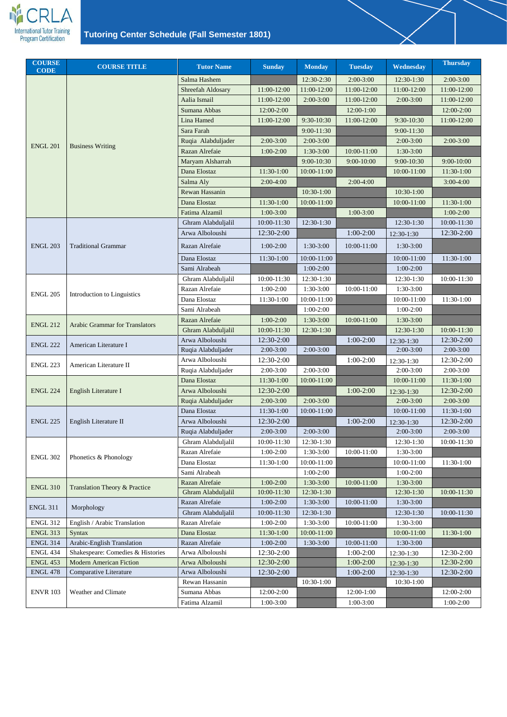

| <b>COURSE</b><br><b>CODE</b> | <b>COURSE TITLE</b>                   | <b>Tutor Name</b>                     | <b>Sunday</b>             | <b>Monday</b> | <b>Tuesday</b> | Wednesday                 | <b>Thursday</b>           |
|------------------------------|---------------------------------------|---------------------------------------|---------------------------|---------------|----------------|---------------------------|---------------------------|
|                              |                                       | Salma Hashem                          |                           | 12:30-2:30    | $2:00-3:00$    | 12:30-1:30                | $2:00-3:00$               |
|                              |                                       | Shreefah Aldosary                     | 11:00-12:00               | 11:00-12:00   | 11:00-12:00    | 11:00-12:00               | 11:00-12:00               |
|                              |                                       | Aalia Ismail                          | 11:00-12:00               | $2:00-3:00$   | 11:00-12:00    | $2:00-3:00$               | 11:00-12:00               |
|                              |                                       | Sumana Abbas                          | 12:00-2:00                |               | 12:00-1:00     |                           | 12:00-2:00                |
|                              |                                       | Lina Hamed                            | 11:00-12:00               | 9:30-10:30    | 11:00-12:00    | $9:30-10:30$              | 11:00-12:00               |
|                              |                                       | Sara Farah                            |                           | $9:00-11:30$  |                | $9:00-11:30$              |                           |
|                              |                                       | Ruqia Alabduljader                    | $2:00-3:00$               | $2:00-3:00$   |                | $2:00-3:00$               | $2:00-3:00$               |
| <b>ENGL 201</b>              | <b>Business Writing</b>               | Razan Alrefaie                        | $1:00-2:00$               | 1:30-3:00     | 10:00-11:00    | $1:30-3:00$               |                           |
|                              |                                       | Maryam Alsharrah                      |                           | 9:00-10:30    | $9:00 - 10:00$ | 9:00-10:30                | 9:00-10:00                |
|                              |                                       | Dana Elostaz                          | 11:30-1:00                | 10:00-11:00   |                | 10:00-11:00               | 11:30-1:00                |
|                              |                                       | Salma Aly                             | $2:00-4:00$               |               | $2:00-4:00$    |                           | $3:00-4:00$               |
|                              |                                       | Rewan Hassanin                        |                           | 10:30-1:00    |                | $10:30-1:00$              |                           |
|                              |                                       | Dana Elostaz                          | 11:30-1:00                | 10:00-11:00   |                | 10:00-11:00               | 11:30-1:00                |
|                              |                                       | Fatima Alzamil                        | $1:00-3:00$               |               | $1:00-3:00$    |                           | $1:00-2:00$               |
|                              |                                       | Ghram Alabduljalil                    | 10:00-11:30               | 12:30-1:30    |                | 12:30-1:30                | 10:00-11:30               |
|                              |                                       | Arwa Alboloushi                       | 12:30-2:00                |               | $1:00-2:00$    | 12:30-1:30                | 12:30-2:00                |
| <b>ENGL 203</b>              | <b>Traditional Grammar</b>            | Razan Alrefaie                        | $1:00-2:00$               | $1:30-3:00$   | 10:00-11:00    | 1:30-3:00                 |                           |
|                              |                                       |                                       |                           |               |                |                           |                           |
|                              |                                       | Dana Elostaz                          | 11:30-1:00                | 10:00-11:00   |                | 10:00-11:00               | 11:30-1:00                |
|                              |                                       | Sami Alrabeah                         |                           | $1:00-2:00$   |                | $1:00-2:00$               |                           |
|                              | Introduction to Linguistics           | Ghram Alabduljalil                    | 10:00-11:30               | 12:30-1:30    |                | 12:30-1:30                | 10:00-11:30               |
| <b>ENGL 205</b>              |                                       | Razan Alrefaie                        | $1:00-2:00$               | 1:30-3:00     | 10:00-11:00    | 1:30-3:00                 |                           |
|                              |                                       | Dana Elostaz                          | 11:30-1:00                | 10:00-11:00   |                | 10:00-11:00               | 11:30-1:00                |
|                              |                                       | Sami Alrabeah                         |                           | $1:00-2:00$   |                | $1:00-2:00$               |                           |
| <b>ENGL 212</b>              | <b>Arabic Grammar for Translators</b> | Razan Alrefaie                        | $1:00-2:00$               | 1:30-3:00     | 10:00-11:00    | $1:30-3:00$               |                           |
|                              |                                       | Ghram Alabduljalil                    | 10:00-11:30               | $12:30-1:30$  |                | 12:30-1:30                | 10:00-11:30               |
| <b>ENGL 222</b>              | American Literature I                 | Arwa Alboloushi<br>Ruqia Alabduljader | 12:30-2:00<br>$2:00-3:00$ | $2:00-3:00$   | $1:00-2:00$    | 12:30-1:30<br>$2:00-3:00$ | 12:30-2:00<br>$2:00-3:00$ |
|                              |                                       | Arwa Alboloushi                       | 12:30-2:00                |               | $1:00-2:00$    |                           | 12:30-2:00                |
| <b>ENGL 223</b>              | American Literature II                | Ruqia Alabduljader                    | $2:00-3:00$               | $2:00-3:00$   |                | 12:30-1:30<br>$2:00-3:00$ | $2:00-3:00$               |
|                              |                                       | Dana Elostaz                          | 11:30-1:00                | 10:00-11:00   |                | 10:00-11:00               | 11:30-1:00                |
| <b>ENGL 224</b>              | English Literature I                  | Arwa Alboloushi                       | 12:30-2:00                |               | $1:00-2:00$    |                           | 12:30-2:00                |
|                              |                                       | Ruqia Alabduljader                    | $2:00-3:00$               | $2:00-3:00$   |                | 12:30-1:30<br>$2:00-3:00$ | $2:00-3:00$               |
|                              |                                       | Dana Elostaz                          | 11:30-1:00                | 10:00-11:00   |                | 10:00-11:00               | 11:30-1:00                |
| <b>ENGL 225</b>              | English Literature II                 | Arwa Alboloushi                       | 12:30-2:00                |               | $1:00-2:00$    |                           | 12:30-2:00                |
|                              |                                       | Ruqia Alabduljader                    | $2:00-3:00$               | $2:00-3:00$   |                | 12:30-1:30<br>$2:00-3:00$ | $2:00-3:00$               |
|                              |                                       | Ghram Alabduljalil                    | 10:00-11:30               | 12:30-1:30    |                | 12:30-1:30                | 10:00-11:30               |
|                              |                                       | Razan Alrefaie                        | $1:00-2:00$               | 1:30-3:00     | 10:00-11:00    | 1:30-3:00                 |                           |
| <b>ENGL 302</b>              | Phonetics & Phonology                 | Dana Elostaz                          | 11:30-1:00                | 10:00-11:00   |                | 10:00-11:00               | 11:30-1:00                |
|                              |                                       | Sami Alrabeah                         |                           | $1:00-2:00$   |                | $1:00-2:00$               |                           |
|                              |                                       | Razan Alrefaie                        | $1:00-2:00$               | $1:30-3:00$   | 10:00-11:00    | $1:30-3:00$               |                           |
| <b>ENGL 310</b>              | Translation Theory & Practice         | Ghram Alabduljalil                    | 10:00-11:30               | 12:30-1:30    |                | 12:30-1:30                | 10:00-11:30               |
|                              |                                       | Razan Alrefaie                        | $1:00-2:00$               | 1:30-3:00     | 10:00-11:00    | 1:30-3:00                 |                           |
| <b>ENGL 311</b>              | Morphology                            | Ghram Alabduljalil                    | 10:00-11:30               | 12:30-1:30    |                | 12:30-1:30                | 10:00-11:30               |
| <b>ENGL 312</b>              | English / Arabic Translation          | Razan Alrefaie                        | $1:00-2:00$               | 1:30-3:00     | 10:00-11:00    | 1:30-3:00                 |                           |
| <b>ENGL 313</b>              | <b>Syntax</b>                         | Dana Elostaz                          | 11:30-1:00                | 10:00-11:00   |                | 10:00-11:00               | 11:30-1:00                |
| <b>ENGL 314</b>              | Arabic-English Translation            | Razan Alrefaie                        | $1:00-2:00$               | $1:30-3:00$   | 10:00-11:00    | 1:30-3:00                 |                           |
| <b>ENGL 434</b>              | Shakespeare: Comedies & Histories     | Arwa Alboloushi                       | 12:30-2:00                |               | $1:00-2:00$    | 12:30-1:30                | 12:30-2:00                |
| <b>ENGL 453</b>              | <b>Modern American Fiction</b>        | Arwa Alboloushi                       | 12:30-2:00                |               | $1:00-2:00$    | 12:30-1:30                | 12:30-2:00                |
| <b>ENGL 478</b>              | <b>Comparative Literature</b>         | Arwa Alboloushi                       | 12:30-2:00                |               | $1:00-2:00$    | 12:30-1:30                | 12:30-2:00                |
|                              |                                       | Rewan Hassanin                        |                           | 10:30-1:00    |                | 10:30-1:00                |                           |
| <b>ENVR 103</b>              | Weather and Climate                   | Sumana Abbas                          | 12:00-2:00                |               | 12:00-1:00     |                           | 12:00-2:00                |
|                              |                                       | Fatima Alzamil                        | $1:00-3:00$               |               | $1:00-3:00$    |                           | $1:00-2:00$               |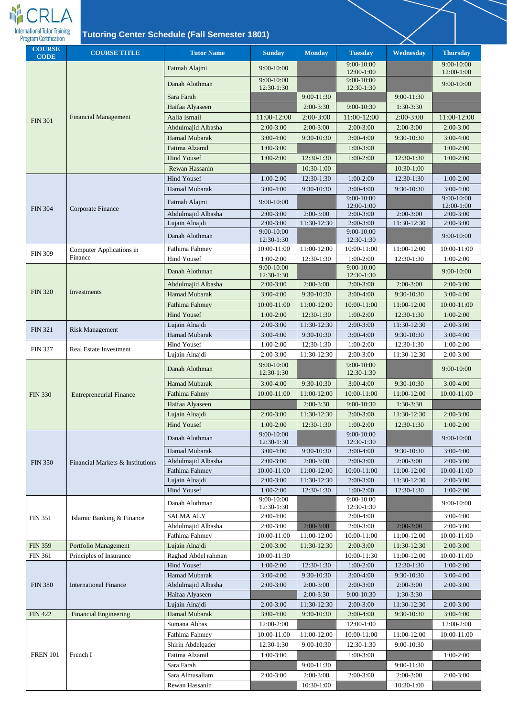

| <b>COURSE</b><br><b>CODE</b> | <b>COURSE TITLE</b>              | <b>Tutor Name</b>                     | <b>Sunday</b>                | <b>Monday</b>              | <b>Tuesday</b>               | Wednesday                | <b>Thursday</b>          |
|------------------------------|----------------------------------|---------------------------------------|------------------------------|----------------------------|------------------------------|--------------------------|--------------------------|
|                              |                                  | Fatmah Alajmi                         | 9:00-10:00                   |                            | $9:00 - 10:00$<br>12:00-1:00 |                          | 9:00-10:00<br>12:00-1:00 |
|                              |                                  | Danah Alothman                        | $9:00 - 10:00$<br>12:30-1:30 |                            | $9:00 - 10:00$<br>12:30-1:30 |                          | $9:00 - 10:00$           |
|                              |                                  | Sara Farah                            |                              | 9:00-11:30                 |                              | 9:00-11:30               |                          |
|                              |                                  | Haifaa Alyaseen                       |                              | $2:00-3:30$                | 9:00-10:30                   | $1:30-3:30$              |                          |
|                              | <b>Financial Management</b>      | Aalia Ismail                          | 11:00-12:00                  | $2:00-3:00$                | 11:00-12:00                  | $2:00-3:00$              | 11:00-12:00              |
| <b>FIN 301</b>               |                                  | Abdulmajid Albasha                    | $2:00-3:00$                  | $2:00-3:00$                | $2:00-3:00$                  | $2:00-3:00$              | $2:00-3:00$              |
|                              |                                  | <b>Hamad Mubarak</b>                  | $3:00-4:00$                  | 9:30-10:30                 | $3:00-4:00$                  | 9:30-10:30               | $3:00-4:00$              |
|                              |                                  | Fatima Alzamil                        | $1:00-3:00$                  |                            | $1:00-3:00$                  |                          | $1:00-2:00$              |
|                              |                                  | <b>Hind Yousef</b>                    | $1:00-2:00$                  | 12:30-1:30                 | $1:00-2:00$                  | $12:30-1:30$             | $1:00-2:00$              |
|                              |                                  | Rewan Hassanin                        |                              | 10:30-1:00                 |                              | 10:30-1:00               |                          |
|                              |                                  | <b>Hind Yousef</b>                    | $1:00-2:00$                  | 12:30-1:30                 | $1:00-2:00$                  | 12:30-1:30               | $1:00-2:00$              |
|                              |                                  | Hamad Mubarak                         | $3:00-4:00$                  | 9:30-10:30                 | $3:00-4:00$                  | 9:30-10:30               | $3:00-4:00$              |
| <b>FIN 304</b>               |                                  | Fatmah Alajmi                         | $9:00-10:00$                 |                            | $9:00-10:00$<br>12:00-1:00   |                          | 9:00-10:00<br>12:00-1:00 |
|                              | Corporate Finance                | Abdulmajid Albasha                    | $2:00-3:00$                  | $2:00-3:00$                | $2:00-3:00$                  | $2:00-3:00$              | $2:00-3:00$              |
|                              |                                  | Lujain Alnajdi                        | $2:00-3:00$                  | 11:30-12:30                | $2:00-3:00$                  | 11:30-12:30              | $2:00-3:00$              |
|                              |                                  | Danah Alothman                        | 9:00-10:00<br>12:30-1:30     |                            | $9:00 - 10:00$<br>12:30-1:30 |                          | 9:00-10:00               |
|                              | Computer Applications in         | Fathima Fahmey                        | 10:00-11:00                  | 11:00-12:00                | 10:00-11:00                  | 11:00-12:00              | 10:00-11:00              |
| <b>FIN 309</b>               | Finance                          | <b>Hind Yousef</b>                    | $1:00-2:00$                  | 12:30-1:30                 | $1:00-2:00$                  | 12:30-1:30               | $1:00-2:00$              |
|                              |                                  | Danah Alothman                        | $9:00 - 10:00$<br>12:30-1:30 |                            | $9:00-10:00$<br>12:30-1:30   |                          | $9:00 - 10:00$           |
|                              |                                  | Abdulmajid Albasha                    | $2:00-3:00$                  | $2:00-3:00$                | $2:00-3:00$                  | $2:00-3:00$              | $2:00-3:00$              |
| <b>FIN 320</b>               | Investments                      | <b>Hamad Mubarak</b>                  | $3:00-4:00$                  | 9:30-10:30                 | $3:00-4:00$                  | 9:30-10:30               | $3:00-4:00$              |
|                              |                                  | <b>Fathima Fahmey</b>                 | 10:00-11:00                  | 11:00-12:00                | 10:00-11:00                  | 11:00-12:00              | 10:00-11:00              |
|                              |                                  | Hind Yousef                           | $1:00-2:00$                  | $12:30-1:30$               | $1:00-2:00$                  | 12:30-1:30               | $1:00-2:00$              |
|                              |                                  | Lujain Alnajdi                        | $2:00-3:00$                  | 11:30-12:30                | $2:00-3:00$                  | 11:30-12:30              | $2:00-3:00$              |
| <b>FIN 321</b>               | <b>Risk Management</b>           | Hamad Mubarak                         | $3:00-4:00$                  | 9:30-10:30                 | $3:00-4:00$                  | 9:30-10:30               | 3:00-4:00                |
| <b>FIN 327</b>               | <b>Real Estate Investment</b>    | Hind Yousef                           | $1:00-2:00$                  | 12:30-1:30                 | $1:00-2:00$                  | 12:30-1:30               | $1:00-2:00$              |
|                              |                                  | Lujain Alnajdi                        | $2:00-3:00$                  | 11:30-12:30                | $2:00-3:00$                  | 11:30-12:30              | $2:00-3:00$              |
|                              |                                  | Danah Alothman                        | 9:00-10:00<br>12:30-1:30     |                            | 9:00-10:00<br>12:30-1:30     |                          | $9:00 - 10:00$           |
|                              |                                  | <b>Hamad Mubarak</b>                  | $3:00-4:00$                  | $9:30-10:30$               | $3:00-4:00$                  | 9:30-10:30               | $3:00-4:00$              |
| <b>FIN 330</b>               | <b>Entrepreneurial Finance</b>   | Fathima Fahmy                         | 10:00-11:00                  | 11:00-12:00                | 10:00-11:00                  | 11:00-12:00              | 10:00-11:00              |
|                              |                                  | Haifaa Alyaseen                       |                              | $2:00-3:30$                | 9:00-10:30                   | $1:30-3:30$              |                          |
|                              |                                  | Lujain Alnajdi                        | $2:00-3:00$                  | 11:30-12:30                | $2:00-3:00$                  | 11:30-12:30              | $2:00-3:00$              |
|                              |                                  | <b>Hind Yousef</b>                    | $1:00-2:00$                  | 12:30-1:30                 | $1:00-2:00$                  | 12:30-1:30               | $1:00-2:00$              |
|                              |                                  | Danah Alothman                        | $9:00 - 10:00$<br>12:30-1:30 |                            | $9:00 - 10:00$<br>12:30-1:30 |                          | 9:00-10:00               |
|                              |                                  | Hamad Mubarak                         | $3:00-4:00$                  | 9:30-10:30                 | $3:00-4:00$                  | 9:30-10:30               | $3:00-4:00$              |
| <b>FIN 350</b>               | Financial Markets & Institutions | Abdulmajid Albasha                    | $2:00-3:00$                  | $2:00-3:00$                | $2:00-3:00$                  | $2:00-3:00$              | $2:00-3:00$              |
|                              |                                  | <b>Fathima Fahmey</b>                 | 10:00-11:00                  | 11:00-12:00                | 10:00-11:00                  | 11:00-12:00              | 10:00-11:00              |
|                              |                                  | Lujain Alnajdi                        | $2:00-3:00$                  | 11:30-12:30                | $2:00-3:00$                  | 11:30-12:30              | $2:00-3:00$              |
|                              |                                  | <b>Hind Yousef</b>                    | $1:00-2:00$                  | 12:30-1:30                 | $1:00-2:00$                  | 12:30-1:30               | $1:00-2:00$              |
|                              |                                  | Danah Alothman                        | $9:00 - 10:00$<br>12:30-1:30 |                            | $9:00-10:00$<br>12:30-1:30   |                          | 9:00-10:00               |
| <b>FIN 351</b>               | Islamic Banking & Finance        | <b>SALMA ALY</b>                      | $2:00-4:00$                  |                            | $2:00-4:00$                  |                          | $3:00-4:00$              |
|                              |                                  | Abdulmajid Albasha                    | $2:00-3:00$                  | $2:00-3:00$                | $2:00-3:00$                  | $2:00-3:00$              | $2:00-3:00$              |
|                              |                                  | Fathima Fahmey                        | 10:00-11:00                  | 11:00-12:00                | 10:00-11:00                  | 11:00-12:00              | 10:00-11:00              |
| <b>FIN 359</b>               | Portfolio Management             | Lujain Alnajdi                        | $2:00-3:00$                  | 11:30-12:30                | $2:00-3:00$                  | 11:30-12:30              | $2:00-3:00$              |
| <b>FIN 361</b>               | Principles of Insurance          | Raghad Abdel rahman                   | 10:00-11:30                  |                            | 10:00-11:30                  | 11:00-12:00              | 10:00-11:00              |
|                              |                                  | <b>Hind Yousef</b>                    | $1:00-2:00$                  | 12:30-1:30                 | $1:00-2:00$                  | 12:30-1:30               | $1:00-2:00$              |
|                              |                                  | Hamad Mubarak                         | $3:00-4:00$                  | 9:30-10:30                 | $3:00-4:00$                  | 9:30-10:30               | 3:00-4:00                |
| <b>FIN 380</b>               | <b>International Finance</b>     | Abdulmajid Albasha<br>Haifaa Alyaseen | $2:00-3:00$                  | $2:00-3:00$<br>$2:00-3:30$ | 2:00-3:00<br>9:00-10:30      | 2:00-3:00<br>$1:30-3:30$ | 2:00-3:00                |
|                              |                                  | Lujain Alnajdi                        | $2:00-3:00$                  | 11:30-12:30                | $2:00-3:00$                  | 11:30-12:30              | $2:00-3:00$              |
| <b>FIN 422</b>               | <b>Financial Engineering</b>     | Hamad Mubarak                         | $3:00-4:00$                  | 9:30-10:30                 | $3:00-4:00$                  | 9:30-10:30               | $3:00-4:00$              |
|                              |                                  | Sumana Abbas                          | 12:00-2:00                   |                            | 12:00-1:00                   |                          | 12:00-2:00               |
|                              |                                  | Fathima Fahmey                        | 10:00-11:00                  | 11:00-12:00                | 10:00-11:00                  | 11:00-12:00              | 10:00-11:00              |
|                              |                                  | Shirin Abdelqader                     | 12:30-1:30                   | 9:00-10:30                 | 12:30-1:30                   | 9:00-10:30               |                          |
| <b>FREN 101</b>              | French I                         | Fatima Alzamil                        | $1:00-3:00$                  |                            | $1:00-3:00$                  |                          | $1:00-2:00$              |
|                              |                                  | Sara Farah                            |                              | 9:00-11:30                 |                              | 9:00-11:30               |                          |
|                              |                                  | Sara Almusallam                       | $2:00-3:00$                  | $2:00-3:00$                | $2:00-3:00$                  | $2:00-3:00$              | $2:00-3:00$              |
|                              |                                  | Rewan Hassanin                        |                              | $10:30-1:00$               |                              | 10:30-1:00               |                          |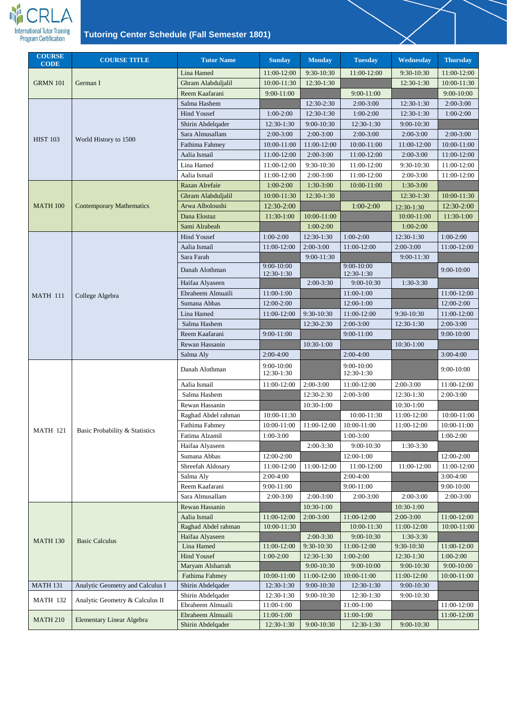

| <b>COURSE</b><br><b>CODE</b> | <b>COURSE TITLE</b>              | <b>Tutor Name</b>                      | <b>Sunday</b>            | <b>Monday</b> | <b>Tuesday</b>              | Wednesday      | <b>Thursday</b>             |
|------------------------------|----------------------------------|----------------------------------------|--------------------------|---------------|-----------------------------|----------------|-----------------------------|
|                              |                                  | Lina Hamed                             | 11:00-12:00              | 9:30-10:30    | 11:00-12:00                 | 9:30-10:30     | 11:00-12:00                 |
| <b>GRMN 101</b>              | German I                         | Ghram Alabduljalil                     | 10:00-11:30              | 12:30-1:30    |                             | 12:30-1:30     | 10:00-11:30                 |
|                              |                                  | Reem Kaafarani                         | 9:00-11:00               |               | $9:00-11:00$                |                | $9:00-10:00$                |
|                              |                                  | Salma Hashem                           |                          | 12:30-2:30    | $2:00-3:00$                 | 12:30-1:30     | $2:00-3:00$                 |
|                              |                                  | <b>Hind Yousef</b>                     | $1:00-2:00$              | 12:30-1:30    | $1:00-2:00$                 | 12:30-1:30     | $1:00-2:00$                 |
|                              |                                  | Shirin Abdelqader                      | 12:30-1:30               | 9:00-10:30    | 12:30-1:30                  | $9:00 - 10:30$ |                             |
|                              |                                  | Sara Almusallam                        | $2:00-3:00$              | $2:00-3:00$   | $2:00-3:00$                 | $2:00-3:00$    | $2:00-3:00$                 |
| <b>HIST 103</b>              | World History to 1500            | Fathima Fahmey                         | 10:00-11:00              | 11:00-12:00   | 10:00-11:00                 | 11:00-12:00    | $10:00 - 11:00$             |
|                              |                                  | Aalia Ismail                           | 11:00-12:00              | $2:00-3:00$   | 11:00-12:00                 | $2:00-3:00$    | 11:00-12:00                 |
|                              |                                  | Lina Hamed                             | 11:00-12:00              | 9:30-10:30    | 11:00-12:00                 | 9:30-10:30     | 11:00-12:00                 |
|                              |                                  | Aalia Ismail                           | 11:00-12:00              | $2:00-3:00$   | 11:00-12:00                 | $2:00-3:00$    | 11:00-12:00                 |
|                              |                                  | Razan Alrefaie                         | $1:00-2:00$              | $1:30-3:00$   | 10:00-11:00                 | 1:30-3:00      |                             |
|                              |                                  | Ghram Alabduljalil                     | 10:00-11:30              | 12:30-1:30    |                             | 12:30-1:30     | 10:00-11:30                 |
| <b>MATH 100</b>              | <b>Contemporary Mathematics</b>  | Arwa Alboloushi                        | 12:30-2:00               |               | $1:00-2:00$                 | 12:30-1:30     | 12:30-2:00                  |
|                              |                                  | Dana Elostaz                           | 11:30-1:00               | 10:00-11:00   |                             | 10:00-11:00    | 11:30-1:00                  |
|                              |                                  | Sami Alrabeah                          |                          | $1:00-2:00$   |                             | $1:00-2:00$    |                             |
|                              |                                  | <b>Hind Yousef</b>                     | $1:00-2:00$              | 12:30-1:30    | $1:00-2:00$                 | 12:30-1:30     | $1:00-2:00$                 |
|                              |                                  | Aalia Ismail                           | 11:00-12:00              | $2:00-3:00$   | 11:00-12:00                 | $2:00-3:00$    | 11:00-12:00                 |
|                              |                                  | Sara Farah                             |                          | 9:00-11:30    |                             | $9:00-11:30$   |                             |
|                              |                                  | Danah Alothman                         | $9:00 - 10:00$           |               | $9:00 - 10:00$              |                | 9:00-10:00                  |
|                              |                                  |                                        | 12:30-1:30               | $2:00-3:30$   | $12:30-1:30$<br>9:00-10:30  | $1:30-3:30$    |                             |
|                              |                                  | Haifaa Alyaseen<br>Ebraheem Almuaili   | 11:00-1:00               |               | $11:00-1:00$                |                | 11:00-12:00                 |
| <b>MATH 111</b>              | College Algebra                  | Sumana Abbas                           | 12:00-2:00               |               | $12:00-1:00$                |                | 12:00-2:00                  |
|                              |                                  | Lina Hamed                             |                          | 9:30-10:30    |                             | 9:30-10:30     | 11:00-12:00                 |
|                              |                                  |                                        | 11:00-12:00              |               | 11:00-12:00                 |                |                             |
|                              |                                  | Salma Hashem<br>Reem Kaafarani         | 9:00-11:00               | 12:30-2:30    | $2:00-3:00$<br>$9:00-11:00$ | 12:30-1:30     | $2:00-3:00$<br>$9:00-10:00$ |
|                              |                                  | Rewan Hassanin                         |                          | 10:30-1:00    |                             | 10:30-1:00     |                             |
|                              |                                  | Salma Aly                              | $2:00-4:00$              |               | $2:00-4:00$                 |                | $3:00-4:00$                 |
|                              |                                  |                                        | $9:00 - 10:00$           |               | $9:00-10:00$                |                |                             |
|                              |                                  | Danah Alothman                         | 12:30-1:30               |               | 12:30-1:30                  |                | 9:00-10:00                  |
|                              |                                  | Aalia Ismail                           | 11:00-12:00              | $2:00-3:00$   | 11:00-12:00                 | $2:00-3:00$    | 11:00-12:00                 |
|                              |                                  | Salma Hashem                           |                          | 12:30-2:30    | 2:00-3:00                   | 12:30-1:30     | $2:00-3:00$                 |
|                              |                                  | Rewan Hassanin                         |                          | 10:30-1:00    |                             | 10:30-1:00     |                             |
|                              | Basic Probability & Statistics   | Raghad Abdel rahman                    | 10:00-11:30              |               | 10:00-11:30                 | 11:00-12:00    | $10:00 - 11:00$             |
|                              |                                  | Fathima Fahmey                         | 10:00-11:00              | 11:00-12:00   | 10:00-11:00                 | 11:00-12:00    | 10:00-11:00                 |
| <b>MATH 121</b>              |                                  | Fatima Alzamil                         | $1:00-3:00$              |               | $1:00-3:00$                 |                | $1:00-2:00$                 |
|                              |                                  | Haifaa Alyaseen                        |                          | $2:00-3:30$   | 9:00-10:30                  | 1:30-3:30      |                             |
|                              |                                  | Sumana Abbas                           | 12:00-2:00               |               | 12:00-1:00                  |                | 12:00-2:00                  |
|                              |                                  | Shreefah Aldosary                      | 11:00-12:00              | 11:00-12:00   | 11:00-12:00                 | 11:00-12:00    | 11:00-12:00                 |
|                              |                                  | Salma Aly                              | $2:00-4:00$              |               | $2:00-4:00$                 |                | $3:00-4:00$                 |
|                              |                                  | Reem Kaafarani                         | 9:00-11:00               |               | $9:00-11:00$                |                | $9:00-10:00$                |
|                              |                                  | Sara Almusallam                        | $2:00-3:00$              | $2:00-3:00$   | $2:00-3:00$                 | $2:00-3:00$    | $2:00-3:00$                 |
|                              |                                  | Rewan Hassanin                         |                          | 10:30-1:00    |                             | $10:30-1:00$   |                             |
|                              |                                  | Aalia Ismail                           | 11:00-12:00              | $2:00-3:00$   | 11:00-12:00                 | $2:00-3:00$    | 11:00-12:00                 |
|                              |                                  | Raghad Abdel rahman                    | 10:00-11:30              |               | 10:00-11:30                 | 11:00-12:00    | 10:00-11:00                 |
| <b>MATH 130</b>              | <b>Basic Calculus</b>            | Haifaa Alyaseen                        |                          | $2:00-3:30$   | 9:00-10:30                  | $1:30-3:30$    |                             |
|                              |                                  | Lina Hamed                             | 11:00-12:00              | 9:30-10:30    | 11:00-12:00                 | 9:30-10:30     | 11:00-12:00                 |
|                              |                                  | <b>Hind Yousef</b>                     | $1:00-2:00$              | 12:30-1:30    | $1:00-2:00$                 | 12:30-1:30     | $1:00-2:00$                 |
|                              |                                  | Maryam Alsharrah                       |                          | 9:00-10:30    | $9:00 - 10:00$              | $9:00 - 10:30$ | 9:00-10:00                  |
|                              |                                  | <b>Fathima Fahmey</b>                  | 10:00-11:00              | 11:00-12:00   | 10:00-11:00                 | 11:00-12:00    | 10:00-11:00                 |
| <b>MATH 131</b>              | Analytic Geometry and Calculus I | Shirin Abdelqader                      | 12:30-1:30               | 9:00-10:30    | 12:30-1:30                  | 9:00-10:30     |                             |
| <b>MATH 132</b>              | Analytic Geometry & Calculus II  | Shirin Abdelqader                      | 12:30-1:30               | 9:00-10:30    | 12:30-1:30                  | 9:00-10:30     |                             |
|                              |                                  | Ebraheem Almuaili                      | 11:00-1:00               |               | 11:00-1:00                  |                | 11:00-12:00                 |
| <b>MATH 210</b>              | <b>Elementary Linear Algebra</b> | Ebraheem Almuaili<br>Shirin Abdelqader | 11:00-1:00<br>12:30-1:30 | 9:00-10:30    | 11:00-1:00<br>12:30-1:30    | 9:00-10:30     | 11:00-12:00                 |
|                              |                                  |                                        |                          |               |                             |                |                             |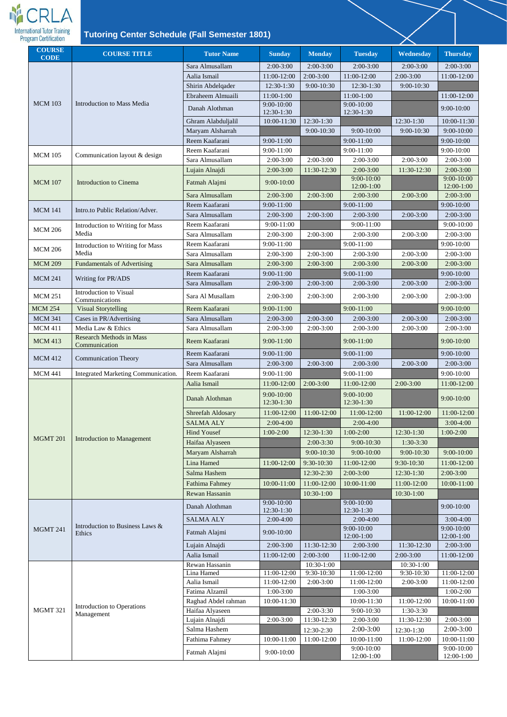

| <b>COURSE</b><br><b>Tutor Name</b><br><b>Monday</b><br><b>COURSE TITLE</b><br><b>Sunday</b><br><b>Tuesday</b><br><b>CODE</b>            | Wednesday<br><b>Thursday</b>               |
|-----------------------------------------------------------------------------------------------------------------------------------------|--------------------------------------------|
| Sara Almusallam<br>$2:00-3:00$<br>$2:00-3:00$<br>$2:00-3:00$                                                                            | $2:00-3:00$<br>$2:00-3:00$                 |
| $2:00-3:00$<br>Aalia Ismail<br>11:00-12:00<br>11:00-12:00                                                                               | $2:00-3:00$<br>11:00-12:00                 |
| 12:30-1:30<br>9:00-10:30<br>Shirin Abdelqader<br>12:30-1:30                                                                             | $9:00 - 10:30$                             |
| Ebraheem Almuaili<br>$11:00-1:00$<br>11:00-1:00                                                                                         | 11:00-12:00                                |
| <b>MCM 103</b><br><b>Introduction to Mass Media</b><br>$9:00-10:00$<br>$9:00 - 10:00$<br>Danah Alothman<br>12:30-1:30<br>12:30-1:30     | $9:00-10:00$                               |
| 10:00-11:30<br>12:30-1:30<br>Ghram Alabduljalil                                                                                         | 12:30-1:30<br>10:00-11:30                  |
| Maryam Alsharrah<br>9:00-10:30<br>$9:00 - 10:00$                                                                                        | 9:00-10:00<br>9:00-10:30                   |
| Reem Kaafarani<br>9:00-11:00<br>$9:00-11:00$                                                                                            | $9:00-10:00$                               |
| $9:00-11:00$<br>Reem Kaafarani<br>9:00-11:00<br><b>MCM 105</b><br>Communication layout & design                                         | $9:00-10:00$                               |
| Sara Almusallam<br>$2:00-3:00$<br>$2:00-3:00$<br>$2:00-3:00$                                                                            | $2:00-3:00$<br>$2:00-3:00$                 |
| $2:00-3:00$<br>$2:00-3:00$<br>11:30-12:30<br>Lujain Alnajdi                                                                             | 11:30-12:30<br>$2:00-3:00$                 |
| $9:00 - 10:00$<br>9:00-10:00<br><b>MCM</b> 107<br><b>Introduction to Cinema</b><br>Fatmah Alajmi<br>12:00-1:00                          | $9:00 - 10:00$<br>12:00-1:00               |
| Sara Almusallam<br>$2:00-3:00$<br>$2:00-3:00$<br>$2:00-3:00$                                                                            | $2:00-3:00$<br>$2:00-3:00$                 |
| Reem Kaafarani<br>9:00-11:00<br>$9:00-11:00$<br><b>MCM 141</b><br>Intro.to Public Relation/Adver.                                       | $9:00-10:00$                               |
| Sara Almusallam<br>$2:00-3:00$<br>$2:00-3:00$<br>$2:00-3:00$                                                                            | $2:00-3:00$<br>$2:00-3:00$                 |
| $9:00-11:00$<br>Reem Kaafarani<br>9:00-11:00<br>Introduction to Writing for Mass<br><b>MCM 206</b>                                      | $9:00-10:00$                               |
| Media<br>$2:00-3:00$<br>$2:00-3:00$<br>Sara Almusallam<br>$2:00-3:00$                                                                   | $2:00-3:00$<br>$2:00-3:00$                 |
| Reem Kaafarani<br>9:00-11:00<br>$9:00-11:00$<br>Introduction to Writing for Mass<br><b>MCM 206</b>                                      | $9:00-10:00$                               |
| Media<br>$2:00-3:00$<br>Sara Almusallam<br>$2:00-3:00$<br>$2:00-3:00$                                                                   | $2:00-3:00$<br>$2:00-3:00$                 |
| $2:00-3:00$<br><b>MCM 209</b><br><b>Fundamentals of Advertising</b><br>Sara Almusallam<br>$2:00-3:00$<br>$2:00-3:00$                    | $2:00-3:00$<br>$2:00-3:00$                 |
| Reem Kaafarani<br>$9:00 - 11:00$<br>$9:00-11:00$<br>Writing for PR/ADS<br><b>MCM 241</b>                                                | $9:00-10:00$                               |
| Sara Almusallam<br>$2:00-3:00$<br>$2:00-3:00$<br>$2:00-3:00$<br><b>Introduction to Visual</b>                                           | $2:00-3:00$<br>$2:00-3:00$                 |
| <b>MCM 251</b><br>Sara Al Musallam<br>$2:00-3:00$<br>$2:00-3:00$<br>$2:00-3:00$<br>Communications                                       | $2:00-3:00$<br>$2:00-3:00$                 |
| <b>Visual Storytelling</b><br>Reem Kaafarani<br>9:00-11:00<br>9:00-11:00<br><b>MCM 254</b>                                              | 9:00-10:00                                 |
| <b>MCM 341</b><br>Cases in PR/Advertising<br>Sara Almusallam<br>$2:00-3:00$<br>$2:00-3:00$<br>2:00-3:00                                 | $2:00-3:00$<br>$2:00-3:00$                 |
| Media Law & Ethics<br><b>MCM 411</b><br>Sara Almusallam<br>$2:00-3:00$<br>$2:00-3:00$<br>$2:00-3:00$<br><b>Research Methods in Mass</b> | 2:00-3:00<br>$2:00-3:00$                   |
| <b>MCM 413</b><br>Reem Kaafarani<br>9:00-11:00<br>9:00-11:00<br>Communication                                                           | 9:00-10:00                                 |
| 9:00-11:00<br>Reem Kaafarani<br>$9:00-11:00$<br><b>Communication Theory</b><br><b>MCM 412</b>                                           | $9:00-10:00$                               |
| Sara Almusallam<br>$2:00-3:00$<br>$2:00-3:00$<br>$2:00-3:00$                                                                            | $2:00-3:00$<br>$2:00-3:00$                 |
| 9:00-11:00<br>$9:00-11:00$<br><b>MCM 441</b><br>Integrated Marketing Communication.<br>Reem Kaafarani                                   | $9:00-10:00$                               |
| Aalia Ismail<br>11:00-12:00<br>11:00-12:00<br>$2:00-3:00$                                                                               | $2:00-3:00$<br>11:00-12:00                 |
| 9:00-10:00<br>$9:00-10:00$<br>Danah Alothman<br>12:30-1:30<br>12:30-1:30                                                                | 9:00-10:00                                 |
| 11:00-12:00<br>Shreefah Aldosary<br>11:00-12:00<br>11:00-12:00                                                                          | 11:00-12:00<br>11:00-12:00                 |
| <b>SALMA ALY</b><br>$2:00-4:00$<br>$2:00-4:00$                                                                                          | $3:00-4:00$                                |
| <b>Hind Yousef</b><br>$1:00-2:00$<br>$1:00-2:00$<br>12:30-1:30                                                                          | 12:30-1:30<br>$1:00-2:00$                  |
| <b>MGMT 201</b><br><b>Introduction to Management</b><br>$2:00-3:30$<br>9:00-10:30<br>Haifaa Alyaseen                                    | $1:30-3:30$                                |
| Maryam Alsharrah<br>9:00-10:30<br>$9:00 - 10:00$                                                                                        | 9:00-10:30<br>$9:00 - 10:00$               |
| Lina Hamed<br>9:30-10:30<br>11:00-12:00<br>11:00-12:00                                                                                  | 9:30-10:30<br>11:00-12:00                  |
| Salma Hashem<br>12:30-2:30<br>$2:00-3:00$                                                                                               | 12:30-1:30<br>$2:00-3:00$                  |
| 11:00-12:00<br>Fathima Fahmey<br>10:00-11:00<br>10:00-11:00                                                                             | 10:00-11:00<br>11:00-12:00                 |
| Rewan Hassanin<br>10:30-1:00                                                                                                            | 10:30-1:00                                 |
| 9:00-10:00<br>$9:00-10:00$<br>Danah Alothman<br>$12:30-1:30$<br>12:30-1:30                                                              | 9:00-10:00                                 |
| <b>SALMA ALY</b><br>$2:00-4:00$<br>$2:00-4:00$                                                                                          | $3:00-4:00$                                |
| Introduction to Business Laws &<br>$9:00-10:00$<br><b>MGMT 241</b><br>Fatmah Alajmi<br>9:00-10:00                                       | 9:00-10:00                                 |
| Ethics<br>12:00-1:00                                                                                                                    | 12:00-1:00                                 |
| Lujain Alnajdi<br>$2:00-3:00$<br>11:30-12:30<br>$2:00-3:00$                                                                             | 11:30-12:30<br>$2:00-3:00$                 |
| Aalia Ismail<br>$2:00-3:00$<br>11:00-12:00<br>11:00-12:00<br>Rewan Hassanin<br>10:30-1:00                                               | $2:00-3:00$<br>11:00-12:00<br>$10:30-1:00$ |
| 9:30-10:30<br>11:00-12:00<br>Lina Hamed<br>11:00-12:00                                                                                  | 11:00-12:00<br>9:30-10:30                  |
| Aalia Ismail<br>11:00-12:00<br>$2:00-3:00$<br>11:00-12:00                                                                               | 11:00-12:00<br>2:00-3:00                   |
| Fatima Alzamil<br>$1:00-3:00$<br>$1:00-3:00$                                                                                            | $1:00-2:00$                                |
| 10:00-11:30<br>Raghad Abdel rahman<br>10:00-11:30                                                                                       | 10:00-11:00<br>11:00-12:00                 |
| <b>Introduction to Operations</b><br><b>MGMT 321</b><br>9:00-10:30<br>Haifaa Alyaseen<br>$2:00-3:30$<br>Management                      | $1:30-3:30$                                |
| Lujain Alnajdi<br>$2:00-3:00$<br>$2:00-3:00$<br>11:30-12:30                                                                             | 11:30-12:30<br>$2:00-3:00$                 |
| Salma Hashem<br>$2:00-3:00$<br>12:30-2:30                                                                                               | $2:00-3:00$<br>12:30-1:30                  |
| Fathima Fahmey<br>10:00-11:00<br>11:00-12:00<br>10:00-11:00                                                                             | 11:00-12:00<br>10:00-11:00                 |
| $9:00-10:00$<br>$9:00-10:00$<br>Fatmah Alajmi<br>12:00-1:00                                                                             | $9:00-10:00$<br>$12:00-1:00$               |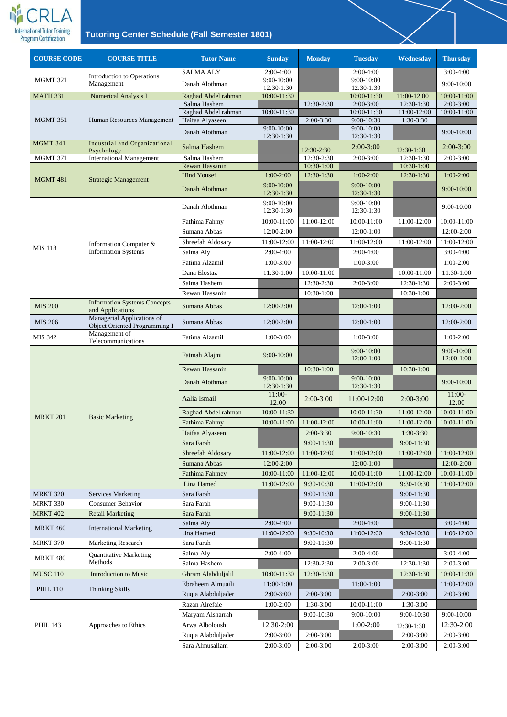

| <b>COURSE CODE</b> | <b>COURSE TITLE</b>                                                                   | <b>Tutor Name</b>       | <b>Sunday</b>                | <b>Monday</b> | <b>Tuesday</b>                 | Wednesday   | <b>Thursday</b>          |
|--------------------|---------------------------------------------------------------------------------------|-------------------------|------------------------------|---------------|--------------------------------|-------------|--------------------------|
|                    |                                                                                       | <b>SALMA ALY</b>        | $2:00-4:00$                  |               | 2:00-4:00                      |             | $3:00-4:00$              |
| <b>MGMT 321</b>    | <b>Introduction to Operations</b><br>Management                                       | Danah Alothman          | 9:00-10:00                   |               | 9:00-10:00                     |             | 9:00-10:00               |
| <b>MATH 331</b>    | <b>Numerical Analysis I</b>                                                           | Raghad Abdel rahman     | 12:30-1:30<br>10:00-11:30    |               | 12:30-1:30<br>10:00-11:30      | 11:00-12:00 | 10:00-11:00              |
|                    |                                                                                       | Salma Hashem            |                              | 12:30-2:30    | $2:00-3:00$                    | 12:30-1:30  | $2:00-3:00$              |
|                    |                                                                                       | Raghad Abdel rahman     | 10:00-11:30                  |               | 10:00-11:30                    | 11:00-12:00 | 10:00-11:00              |
| <b>MGMT 351</b>    | Human Resources Management                                                            | Haifaa Alyaseen         | $9:00 - 10:00$               | $2:00-3:30$   | $9:00 - 10:30$<br>9:00-10:00   | 1:30-3:30   |                          |
|                    |                                                                                       | Danah Alothman          | 12:30-1:30                   |               | 12:30-1:30                     |             | 9:00-10:00               |
| <b>MGMT 341</b>    | Industrial and Organizational<br>Psychology                                           | Salma Hashem            |                              | 12:30-2:30    | $2:00-3:00$                    | 12:30-1:30  | $2:00-3:00$              |
| MGMT 371           | <b>International Management</b>                                                       | Salma Hashem            |                              | 12:30-2:30    | $2:00-3:00$                    | 12:30-1:30  | $2:00-3:00$              |
|                    |                                                                                       | Rewan Hassanin          |                              | 10:30-1:00    |                                | 10:30-1:00  |                          |
| <b>MGMT 481</b>    | <b>Strategic Management</b>                                                           | <b>Hind Yousef</b>      | $1:00-2:00$                  | 12:30-1:30    | $1:00-2:00$                    | 12:30-1:30  | $1:00-2:00$              |
|                    |                                                                                       | Danah Alothman          | 9:00-10:00<br>12:30-1:30     |               | 9:00-10:00<br>12:30-1:30       |             | 9:00-10:00               |
|                    |                                                                                       | Danah Alothman          | $9:00 - 10:00$<br>12:30-1:30 |               | $9:00 - 10:00$<br>12:30-1:30   |             | 9:00-10:00               |
|                    |                                                                                       | Fathima Fahmy           | 10:00-11:00                  | 11:00-12:00   | 10:00-11:00                    | 11:00-12:00 | 10:00-11:00              |
|                    |                                                                                       | Sumana Abbas            | 12:00-2:00                   |               | 12:00-1:00                     |             | 12:00-2:00               |
| <b>MIS 118</b>     | Information Computer &                                                                | Shreefah Aldosary       | 11:00-12:00                  | 11:00-12:00   | 11:00-12:00                    | 11:00-12:00 | 11:00-12:00              |
|                    | <b>Information Systems</b>                                                            | Salma Aly               | $2:00-4:00$                  |               | $2:00-4:00$                    |             | $3:00-4:00$              |
|                    |                                                                                       | Fatima Alzamil          | $1:00-3:00$                  |               | $1:00-3:00$                    |             | $1:00-2:00$              |
|                    |                                                                                       | Dana Elostaz            | 11:30-1:00                   | 10:00-11:00   |                                | 10:00-11:00 | 11:30-1:00               |
|                    |                                                                                       | Salma Hashem            |                              | 12:30-2:30    | $2:00-3:00$                    | 12:30-1:30  | $2:00-3:00$              |
|                    |                                                                                       | Rewan Hassanin          |                              | 10:30-1:00    |                                | 10:30-1:00  |                          |
| <b>MIS 200</b>     | <b>Information Systems Concepts</b><br>and Applications<br>Managerial Applications of | Sumana Abbas            | 12:00-2:00                   |               | 12:00-1:00                     |             | 12:00-2:00               |
| <b>MIS 206</b>     | Object Oriented Programming I                                                         | Sumana Abbas            | 12:00-2:00                   |               | 12:00-1:00                     |             | 12:00-2:00               |
| MIS 342            | Management of<br>Telecommunications                                                   | Fatima Alzamil          | $1:00-3:00$                  |               | $1:00-3:00$                    |             | $1:00-2:00$              |
|                    | <b>Basic Marketing</b>                                                                | Fatmah Alajmi           | 9:00-10:00                   |               | $9:00 - 10:00$<br>$12:00-1:00$ |             | 9:00-10:00<br>12:00-1:00 |
|                    |                                                                                       | Rewan Hassanin          |                              | 10:30-1:00    |                                | 10:30-1:00  |                          |
|                    |                                                                                       | Danah Alothman          | 9:00-10:00<br>12:30-1:30     |               | 9:00-10:00<br>$12:30-1:30$     |             | $9:00 - 10:00$           |
|                    |                                                                                       | Aalia Ismail            | $11:00-$<br>12:00            | $2:00-3:00$   | 11:00-12:00                    | $2:00-3:00$ | $11:00-$<br>12:00        |
| <b>MRKT 201</b>    |                                                                                       | Raghad Abdel rahman     | 10:00-11:30                  |               | 10:00-11:30                    | 11:00-12:00 | 10:00-11:00              |
|                    |                                                                                       | Fathima Fahmy           | 10:00-11:00                  | 11:00-12:00   | 10:00-11:00                    | 11:00-12:00 | 10:00-11:00              |
|                    |                                                                                       | Haifaa Alyaseen         |                              | $2:00-3:30$   | 9:00-10:30                     | $1:30-3:30$ |                          |
|                    |                                                                                       | Sara Farah              |                              | 9:00-11:30    |                                | 9:00-11:30  |                          |
|                    |                                                                                       | Shreefah Aldosary       | 11:00-12:00                  | 11:00-12:00   | 11:00-12:00                    | 11:00-12:00 | 11:00-12:00              |
|                    |                                                                                       | Sumana Abbas            | 12:00-2:00                   |               | 12:00-1:00                     |             | 12:00-2:00               |
|                    |                                                                                       | <b>Fathima Fahmey</b>   | 10:00-11:00                  | 11:00-12:00   | 10:00-11:00                    | 11:00-12:00 | 10:00-11:00              |
|                    |                                                                                       | Lina Hamed              | 11:00-12:00                  | 9:30-10:30    | 11:00-12:00                    | 9:30-10:30  | 11:00-12:00              |
| <b>MRKT 320</b>    | <b>Services Marketing</b>                                                             | Sara Farah              |                              | 9:00-11:30    |                                | 9:00-11:30  |                          |
| <b>MRKT 330</b>    | <b>Consumer Behavior</b>                                                              | Sara Farah              |                              | 9:00-11:30    |                                | 9:00-11:30  |                          |
| <b>MRKT 402</b>    | <b>Retail Marketing</b>                                                               | Sara Farah<br>Salma Aly | $2:00-4:00$                  | 9:00-11:30    | $2:00-4:00$                    | 9:00-11:30  | $3:00-4:00$              |
| <b>MRKT 460</b>    | <b>International Marketing</b>                                                        | Lina Hamed              | 11:00-12:00                  | 9:30-10:30    | 11:00-12:00                    | 9:30-10:30  | 11:00-12:00              |
| <b>MRKT 370</b>    | <b>Marketing Research</b>                                                             | Sara Farah              |                              | $9:00-11:30$  |                                | 9:00-11:30  |                          |
|                    | <b>Quantitative Marketing</b>                                                         | Salma Aly               | $2:00-4:00$                  |               | $2:00-4:00$                    |             | $3:00-4:00$              |
| <b>MRKT 480</b>    | Methods                                                                               | Salma Hashem            |                              | 12:30-2:30    | $2:00-3:00$                    | 12:30-1:30  | $2:00-3:00$              |
| <b>MUSC 110</b>    | <b>Introduction to Music</b>                                                          | Ghram Alabduljalil      | 10:00-11:30                  | 12:30-1:30    |                                | 12:30-1:30  | 10:00-11:30              |
|                    |                                                                                       | Ebraheem Almuaili       | 11:00-1:00                   |               | 11:00-1:00                     |             | 11:00-12:00              |
| <b>PHIL 110</b>    | Thinking Skills                                                                       | Ruqia Alabduljader      | $2:00-3:00$                  | $2:00-3:00$   |                                | $2:00-3:00$ | $2:00-3:00$              |
|                    |                                                                                       | Razan Alrefaie          | $1:00-2:00$                  | 1:30-3:00     | 10:00-11:00                    | 1:30-3:00   |                          |
|                    |                                                                                       | Maryam Alsharrah        |                              | 9:00-10:30    | $9:00-10:00$                   | 9:00-10:30  | 9:00-10:00               |
| <b>PHIL 143</b>    | Approaches to Ethics                                                                  | Arwa Alboloushi         | 12:30-2:00                   |               | $1:00-2:00$                    | 12:30-1:30  | 12:30-2:00               |
|                    |                                                                                       | Ruqia Alabduljader      | $2:00-3:00$                  | $2:00-3:00$   |                                | $2:00-3:00$ | $2:00-3:00$              |
|                    |                                                                                       | Sara Almusallam         | $2:00-3:00$                  | $2:00-3:00$   | $2:00-3:00$                    | $2:00-3:00$ | $2:00-3:00$              |